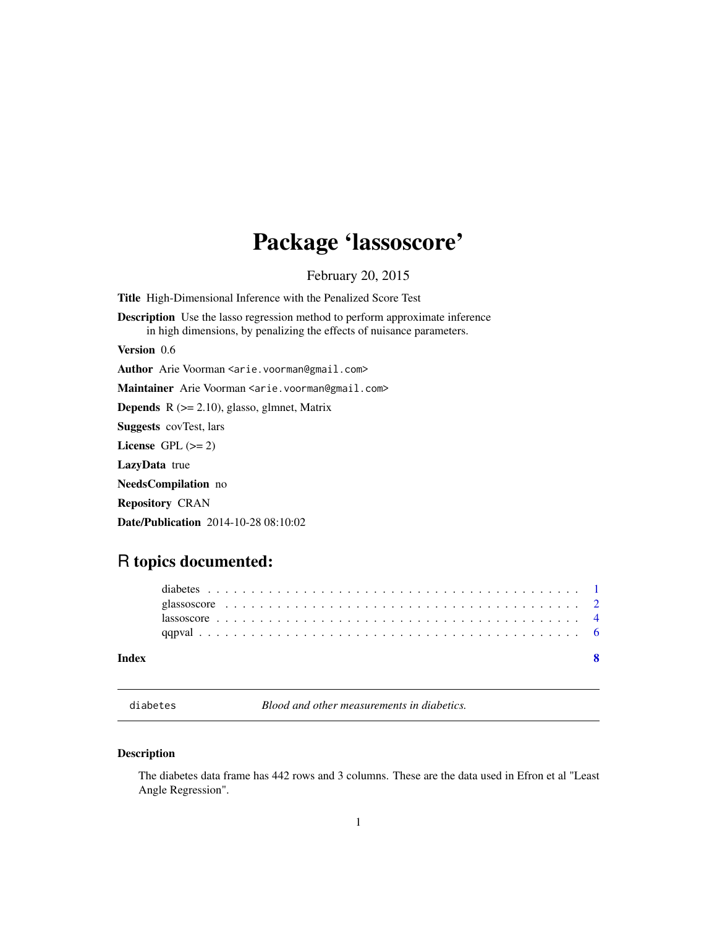## <span id="page-0-0"></span>Package 'lassoscore'

February 20, 2015

<span id="page-0-1"></span>Title High-Dimensional Inference with the Penalized Score Test

Description Use the lasso regression method to perform approximate inference in high dimensions, by penalizing the effects of nuisance parameters.

Version 0.6

Author Arie Voorman <arie.voorman@gmail.com>

Maintainer Arie Voorman <arie.voorman@gmail.com>

**Depends** R  $(>= 2.10)$ , glasso, glmnet, Matrix

Suggests covTest, lars

License GPL  $(>= 2)$ 

LazyData true

NeedsCompilation no

Repository CRAN

Date/Publication 2014-10-28 08:10:02

## R topics documented:

#### **Index** [8](#page-7-0) **8**

|  | diabetes |
|--|----------|
|  |          |

Blood and other measurements in diabetics.

#### Description

The diabetes data frame has 442 rows and 3 columns. These are the data used in Efron et al "Least Angle Regression".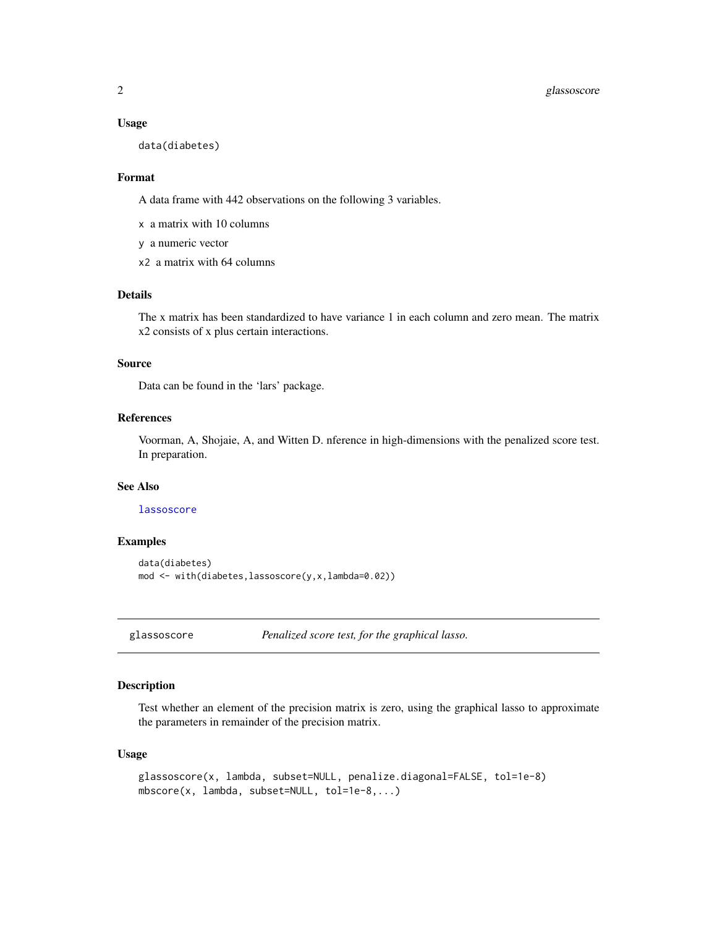#### <span id="page-1-0"></span>2 glassoscore

#### Usage

data(diabetes)

#### Format

A data frame with 442 observations on the following 3 variables.

x a matrix with 10 columns

y a numeric vector

x2 a matrix with 64 columns

#### Details

The x matrix has been standardized to have variance 1 in each column and zero mean. The matrix x2 consists of x plus certain interactions.

#### Source

Data can be found in the 'lars' package.

#### References

Voorman, A, Shojaie, A, and Witten D. nference in high-dimensions with the penalized score test. In preparation.

#### See Also

#### [lassoscore](#page-3-1)

#### Examples

```
data(diabetes)
mod <- with(diabetes,lassoscore(y,x,lambda=0.02))
```
<span id="page-1-1"></span>glassoscore *Penalized score test, for the graphical lasso.*

#### Description

Test whether an element of the precision matrix is zero, using the graphical lasso to approximate the parameters in remainder of the precision matrix.

#### Usage

```
glassoscore(x, lambda, subset=NULL, penalize.diagonal=FALSE, tol=1e-8)
mbscore(x, lambda, subset=NULL, tol=1e-8,...)
```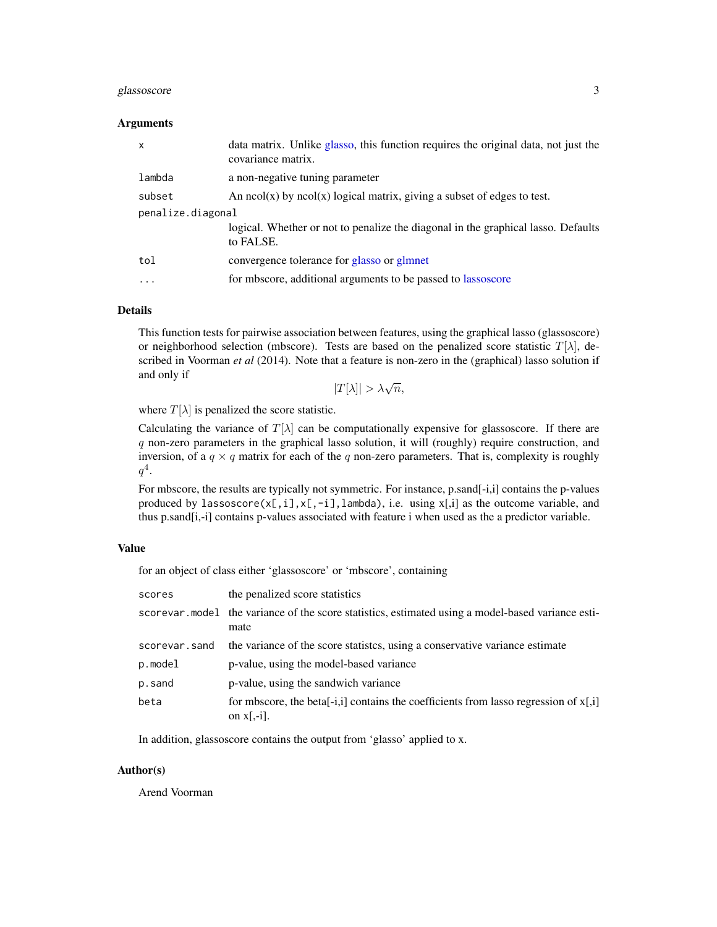#### <span id="page-2-0"></span>glassoscore 3

#### Arguments

| $\mathsf{x}$      | data matrix. Unlike glasso, this function requires the original data, not just the<br>covariance matrix. |
|-------------------|----------------------------------------------------------------------------------------------------------|
| lambda            | a non-negative tuning parameter                                                                          |
| subset            | An $ncol(x)$ by $ncol(x)$ logical matrix, giving a subset of edges to test.                              |
| penalize.diagonal |                                                                                                          |
|                   | logical. Whether or not to penalize the diagonal in the graphical lasso. Defaults<br>to FALSE.           |
| tol               | convergence tolerance for glasso or glmnet                                                               |
| $\cdots$          | for mbscore, additional arguments to be passed to lassoscore                                             |

#### Details

This function tests for pairwise association between features, using the graphical lasso (glassoscore) or neighborhood selection (mbscore). Tests are based on the penalized score statistic  $T[\lambda]$ , described in Voorman *et al* (2014). Note that a feature is non-zero in the (graphical) lasso solution if and only if

 $|T[\lambda]| > \lambda \sqrt{n},$ 

where  $T[\lambda]$  is penalized the score statistic.

Calculating the variance of  $T[\lambda]$  can be computationally expensive for glassoscore. If there are q non-zero parameters in the graphical lasso solution, it will (roughly) require construction, and inversion, of a  $q \times q$  matrix for each of the q non-zero parameters. That is, complexity is roughly  $q^4$ .

For mbscore, the results are typically not symmetric. For instance, p.sand[-i,i] contains the p-values produced by lassoscore( $x[,i],x[,-ij],$ lambda), i.e. using  $x[,i]$  as the outcome variable, and thus p.sand[i,-i] contains p-values associated with feature i when used as the a predictor variable.

#### Value

for an object of class either 'glassoscore' or 'mbscore', containing

| scores        | the penalized score statistics                                                                                       |
|---------------|----------------------------------------------------------------------------------------------------------------------|
|               | scorevar model the variance of the score statistics, estimated using a model-based variance esti-<br>mate            |
| scorevar.sand | the variance of the score statistics, using a conservative variance estimate                                         |
| p.model       | p-value, using the model-based variance                                                                              |
| p.sand        | p-value, using the sandwich variance                                                                                 |
| beta          | for mbscore, the beta <sup>[-1,1]</sup> contains the coefficients from lasso regression of $x$ [,i]<br>on $x$ [,-i]. |

In addition, glassoscore contains the output from 'glasso' applied to x.

#### Author(s)

Arend Voorman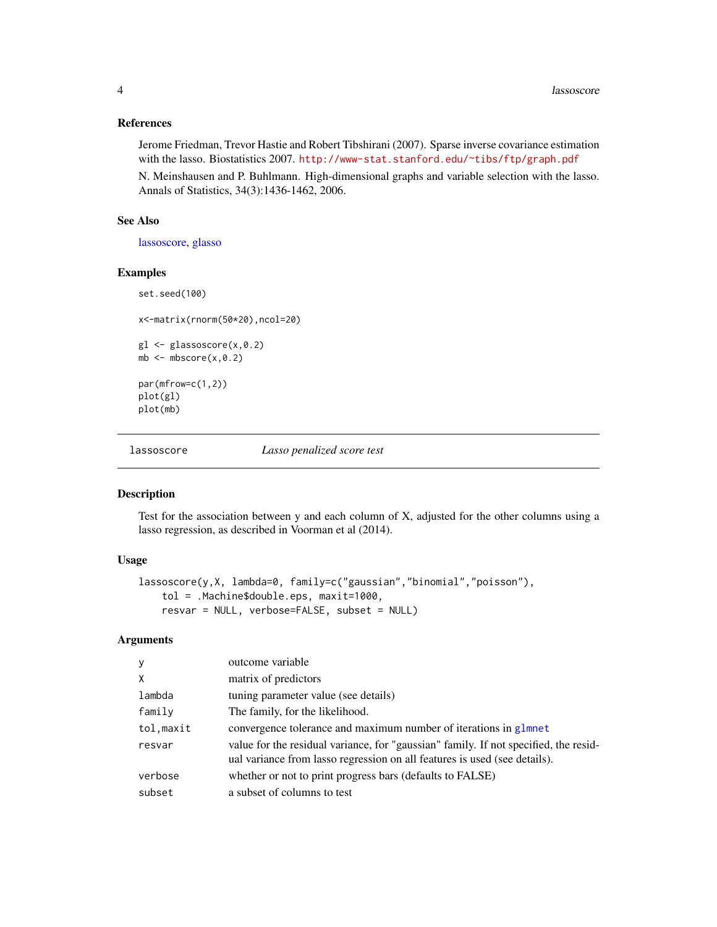#### References

Jerome Friedman, Trevor Hastie and Robert Tibshirani (2007). Sparse inverse covariance estimation with the lasso. Biostatistics 2007. <http://www-stat.stanford.edu/~tibs/ftp/graph.pdf>

N. Meinshausen and P. Buhlmann. High-dimensional graphs and variable selection with the lasso. Annals of Statistics, 34(3):1436-1462, 2006.

#### See Also

[lassoscore,](#page-3-1) [glasso](#page-0-1)

#### Examples

set.seed(100)

x<-matrix(rnorm(50\*20),ncol=20)

```
gl <- glassoscore(x,0.2)
mb \leftarrow mbscore(x, 0.2)
```
par(mfrow=c(1,2)) plot(gl) plot(mb)

<span id="page-3-1"></span>

lassoscore *Lasso penalized score test*

#### Description

Test for the association between y and each column of X, adjusted for the other columns using a lasso regression, as described in Voorman et al (2014).

#### Usage

```
lassoscore(y,X, lambda=0, family=c("gaussian","binomial","poisson"),
   tol = .Machine$double.eps, maxit=1000,
   resvar = NULL, verbose=FALSE, subset = NULL)
```
#### Arguments

| У          | outcome variable                                                                                                                                                  |
|------------|-------------------------------------------------------------------------------------------------------------------------------------------------------------------|
| X          | matrix of predictors                                                                                                                                              |
| lambda     | tuning parameter value (see details)                                                                                                                              |
| family     | The family, for the likelihood.                                                                                                                                   |
| tol, maxit | convergence tolerance and maximum number of iterations in glmnet                                                                                                  |
| resvar     | value for the residual variance, for "gaussian" family. If not specified, the resid-<br>ual variance from lasso regression on all features is used (see details). |
| verbose    | whether or not to print progress bars (defaults to FALSE)                                                                                                         |
| subset     | a subset of columns to test                                                                                                                                       |

<span id="page-3-0"></span>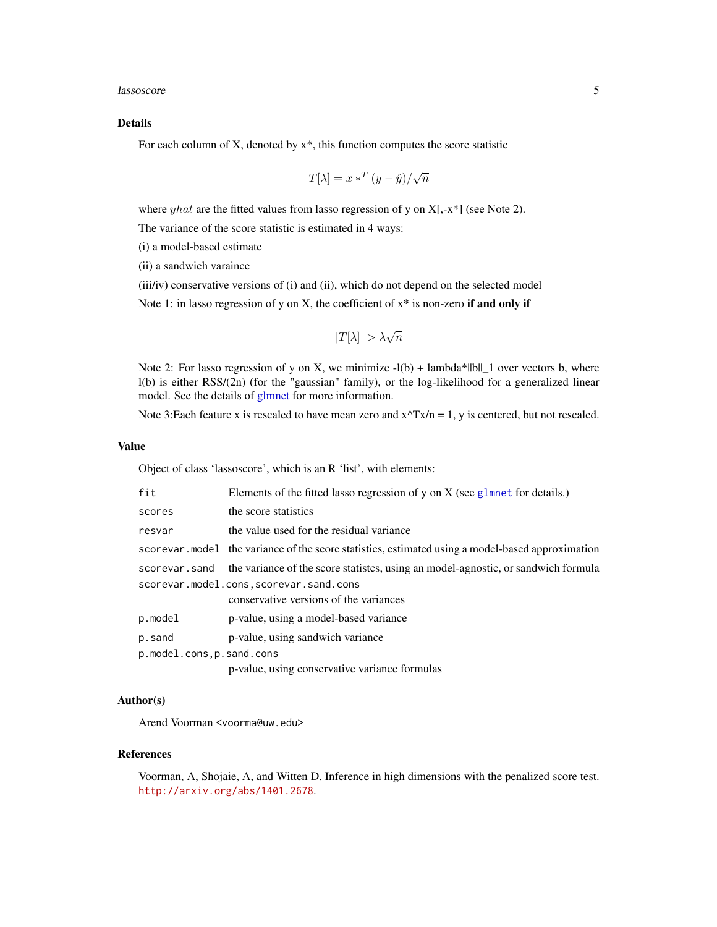<span id="page-4-0"></span>lassoscore **5** 

#### Details

For each column of X, denoted by  $x^*$ , this function computes the score statistic

$$
T[\lambda] = x \cdot x^T (y - \hat{y}) / \sqrt{n}
$$

where *yhat* are the fitted values from lasso regression of y on  $X$ [,-x\*] (see Note 2).

The variance of the score statistic is estimated in 4 ways:

(i) a model-based estimate

(ii) a sandwich varaince

(iii/iv) conservative versions of (i) and (ii), which do not depend on the selected model

Note 1: in lasso regression of y on X, the coefficient of  $x^*$  is non-zero if and only if

$$
|T[\lambda]| > \lambda \sqrt{n}
$$

Note 2: For lasso regression of y on X, we minimize  $-l(b) +$  lambda\*||b||\_1 over vectors b, where l(b) is either RSS/(2n) (for the "gaussian" family), or the log-likelihood for a generalized linear model. See the details of [glmnet](#page-0-1) for more information.

Note 3: Each feature x is rescaled to have mean zero and  $x^T x/n = 1$ , y is centered, but not rescaled.

#### Value

Object of class 'lassoscore', which is an R 'list', with elements:

| fit                      | Elements of the fitted lasso regression of y on $X$ (see glmnet for details.)                     |
|--------------------------|---------------------------------------------------------------------------------------------------|
| scores                   | the score statistics                                                                              |
| resvar                   | the value used for the residual variance                                                          |
|                          | scorevar model the variance of the score statistics, estimated using a model-based approximation  |
|                          | scorevar. sand the variance of the score statistics, using an model-agnostic, or sandwich formula |
|                          | scorevar.model.cons,scorevar.sand.cons<br>conservative versions of the variances                  |
| p.model                  | p-value, using a model-based variance                                                             |
| p.sand                   | p-value, using sandwich variance                                                                  |
| p.model.cons,p.sand.cons |                                                                                                   |
|                          | p-value, using conservative variance formulas                                                     |

#### Author(s)

Arend Voorman <voorma@uw.edu>

#### References

Voorman, A, Shojaie, A, and Witten D. Inference in high dimensions with the penalized score test. <http://arxiv.org/abs/1401.2678>.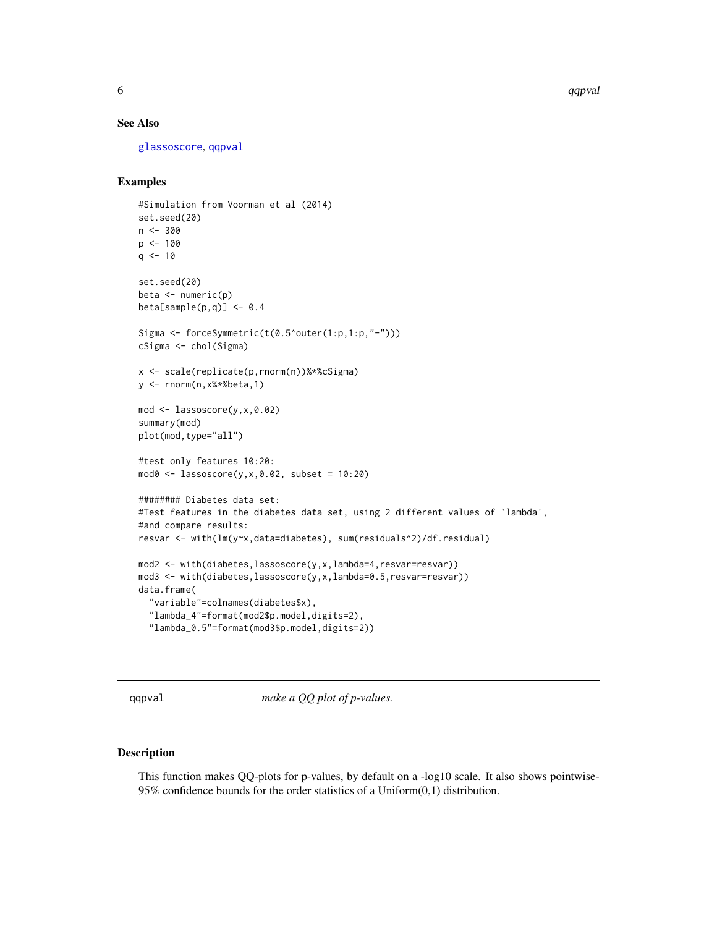<span id="page-5-0"></span>6 and the contract of the contract of the contract of the contract of the contract of the contract of the contract of the contract of the contract of the contract of the contract of the contract of the contract of the cont

#### See Also

[glassoscore](#page-1-1), [qqpval](#page-5-1)

#### Examples

```
#Simulation from Voorman et al (2014)
set.seed(20)
n < -300p <- 100
q \le -10set.seed(20)
beta <- numeric(p)
beta[sample(p,q)] <- 0.4
Sigma <- forceSymmetric(t(0.5^outer(1:p,1:p,"-")))
cSigma <- chol(Sigma)
x <- scale(replicate(p,rnorm(n))%*%cSigma)
y <- rnorm(n,x%*%beta,1)
mod <- lassoscore(y,x,0.02)
summary(mod)
plot(mod,type="all")
#test only features 10:20:
mod0 \leq - lassoscore(y,x,0.02, subset = 10:20)
######## Diabetes data set:
#Test features in the diabetes data set, using 2 different values of `lambda',
#and compare results:
resvar <- with(lm(y~x,data=diabetes), sum(residuals^2)/df.residual)
mod2 <- with(diabetes,lassoscore(y,x,lambda=4,resvar=resvar))
mod3 <- with(diabetes,lassoscore(y,x,lambda=0.5,resvar=resvar))
data.frame(
  "variable"=colnames(diabetes$x),
  "lambda_4"=format(mod2$p.model,digits=2),
  "lambda_0.5"=format(mod3$p.model,digits=2))
```
<span id="page-5-1"></span>qqpval *make a QQ plot of p-values.*

#### Description

This function makes QQ-plots for p-values, by default on a -log10 scale. It also shows pointwise-95% confidence bounds for the order statistics of a Uniform(0,1) distribution.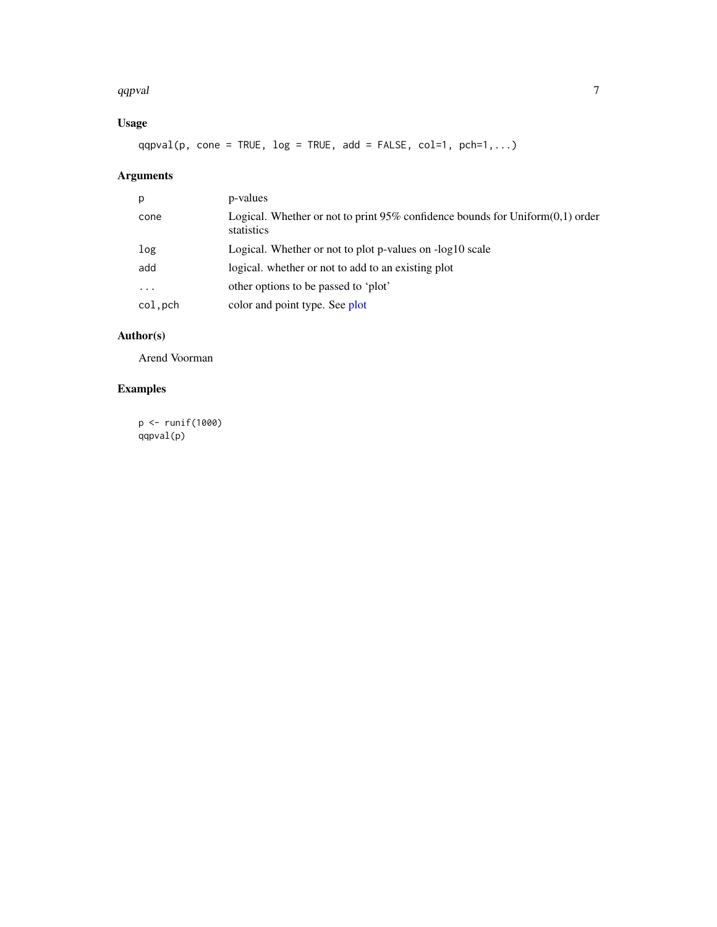#### <span id="page-6-0"></span>qqpval and the contract of the contract of the contract of the contract of the contract of the contract of the contract of the contract of the contract of the contract of the contract of the contract of the contract of the

## Usage

 $qqpval(p, cone = TRUE, log = TRUE, add = FALSE, col=1, pch=1,...)$ 

## Arguments

| p         | p-values                                                                                          |
|-----------|---------------------------------------------------------------------------------------------------|
| cone      | Logical. Whether or not to print $95\%$ confidence bounds for Uniform $(0,1)$ order<br>statistics |
| log       | Logical. Whether or not to plot p-values on -log10 scale                                          |
| add       | logical, whether or not to add to an existing plot                                                |
| $\ddotsc$ | other options to be passed to 'plot'                                                              |
| col, pch  | color and point type. See plot                                                                    |

## Author(s)

Arend Voorman

## Examples

p <- runif(1000) qqpval(p)